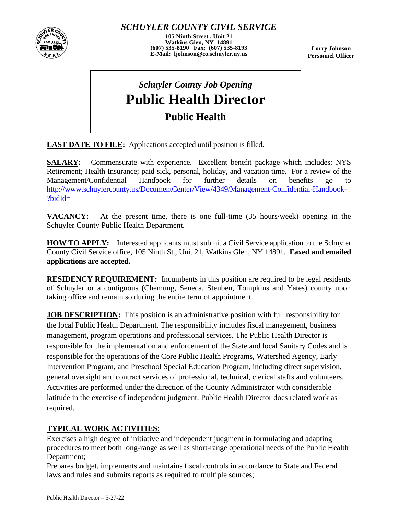

*SCHUYLER COUNTY CIVIL SERVICE*

**105 Ninth Street , Unit 21 Watkins Glen, NY 14891 (607) 535-8190 Fax: (607) 535-8193 E-Mail: ljohnson@co.schuyler.ny.us**

**Lorry Johnson Personnel Officer**

## *Schuyler County Job Opening* **Public Health Director Public Health**

LAST DATE TO FILE: Applications accepted until position is filled.

**SALARY:** Commensurate with experience. Excellent benefit package which includes: NYS Retirement; Health Insurance; paid sick, personal, holiday, and vacation time. For a review of the Management/Confidential Handbook for further details on benefits go to [http://www.schuylercounty.us/DocumentCenter/View/4349/Management-Confidential-Handbook-](http://www.schuylercounty.us/DocumentCenter/View/4349/Management-Confidential-Handbook-?bidId=) [?bidId=](http://www.schuylercounty.us/DocumentCenter/View/4349/Management-Confidential-Handbook-?bidId=)

**VACANCY:** At the present time, there is one full-time (35 hours/week) opening in the Schuyler County Public Health Department.

**HOW TO APPLY:** Interested applicants must submit a Civil Service application to the Schuyler County Civil Service office, 105 Ninth St., Unit 21, Watkins Glen, NY 14891. **Faxed and emailed applications are accepted.**

**RESIDENCY REQUIREMENT:** Incumbents in this position are required to be legal residents of Schuyler or a contiguous (Chemung, Seneca, Steuben, Tompkins and Yates) county upon taking office and remain so during the entire term of appointment.

**JOB DESCRIPTION:** This position is an administrative position with full responsibility for the local Public Health Department. The responsibility includes fiscal management, business management, program operations and professional services. The Public Health Director is responsible for the implementation and enforcement of the State and local Sanitary Codes and is responsible for the operations of the Core Public Health Programs, Watershed Agency, Early Intervention Program, and Preschool Special Education Program, including direct supervision, general oversight and contract services of professional, technical, clerical staffs and volunteers. Activities are performed under the direction of the County Administrator with considerable latitude in the exercise of independent judgment. Public Health Director does related work as required.

## **TYPICAL WORK ACTIVITIES:**

Exercises a high degree of initiative and independent judgment in formulating and adapting procedures to meet both long-range as well as short-range operational needs of the Public Health Department;

Prepares budget, implements and maintains fiscal controls in accordance to State and Federal laws and rules and submits reports as required to multiple sources;